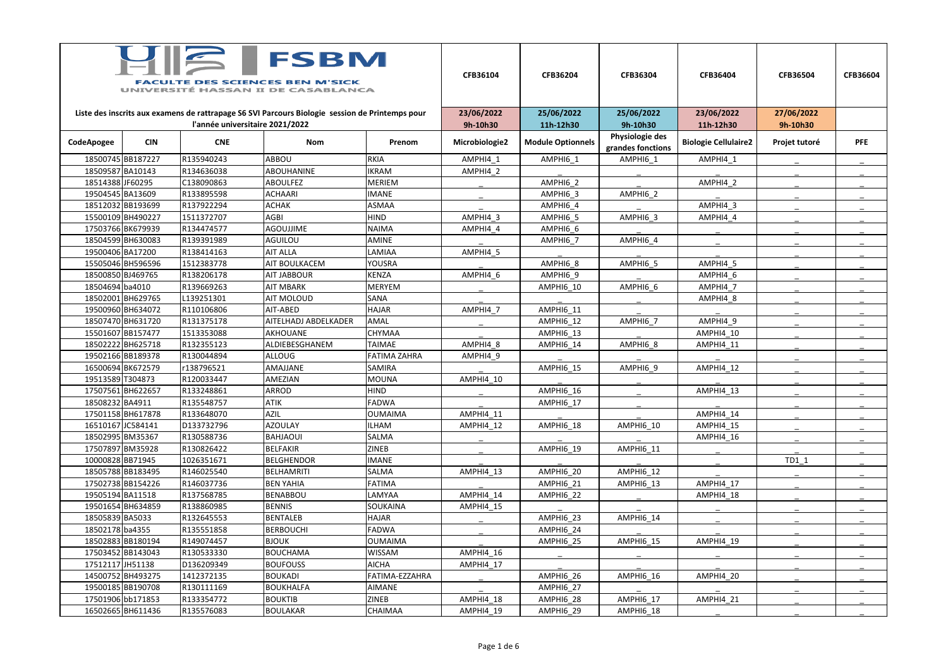| Liste des inscrits aux examens de rattrapage S6 SVI Parcours Biologie session de Printemps pour<br>l'année universitaire 2021/2022<br>9h-10h30<br>11h-12h30<br>9h-10h30<br>11h-12h30<br>9h-10h30<br>Physiologie des<br><b>CNE</b><br><b>CIN</b><br><b>Module Optionnels</b><br><b>Biologie Cellulaire2</b><br><b>PFE</b><br>CodeApogee<br><b>Nom</b><br>Microbiologie2<br>Projet tutoré<br>Prenom<br>grandes fonctions<br>18500745 BB187227<br>R135940243<br>ABBOU<br>RKIA<br>AMPHI4 1<br>AMPHI6 1<br>AMPHI4 1<br>AMPHI6 1<br>18509587 BA10143<br>R134636038<br><b>ABOUHANINE</b><br><b>IKRAM</b><br>AMPHI4 2<br>18514388 JF60295<br>AMPHI6 2<br>C138090863<br><b>ABOULFEZ</b><br><b>MERIEM</b><br>AMPHI4 2<br>19504545 BA13609<br>R133895598<br><b>IMANE</b><br>AMPHI6 2<br><b>ACHAARI</b><br>AMPHI6 3<br>18512032 BB193699<br>R137922294<br><b>ACHAK</b><br>ASMAA<br>AMPHI6 4<br>AMPHI4 3<br>15500109BH490227<br>1511372707<br><b>AGBI</b><br><b>HIND</b><br>AMPHI4 3<br>AMPHI6 3<br>AMPHI6 5<br>AMPHI4 4<br>17503766BK679939<br><b>AGOUJJIME</b><br>R134474577<br><b>NAIMA</b><br>AMPHI4 4<br>AMPHI6 6<br>18504599 BH630083<br>AMINE<br>R139391989<br><b>AGUILOU</b><br>AMPHI6 4<br>AMPHI6 7<br>19500406 BA17200<br>LAMIAA<br>R138414163<br><b>AIT ALLA</b><br>AMPHI4 5<br>15505046 BH596596<br>1512383778<br><b>AIT BOULKACEM</b><br><b>YOUSRA</b><br>AMPHI6 8<br>AMPHI6 5<br>AMPHI4 5<br><b>KENZA</b><br>18500850 BJ469765<br><b>AIT JABBOUR</b><br>AMPHI4 6<br>AMPHI4 6<br>R138206178<br>AMPHI6 9<br>18504694 ba4010<br>R139669263<br>MERYEM<br>AMPHI6 6<br><b>AIT MBARK</b><br>AMPHI6 10<br>AMPHI4 7<br>18502001 BH629765<br>L139251301<br><b>SANA</b><br>AIT MOLOUD<br>AMPHI4 8<br>19500960 BH634072<br>R110106806<br>AIT-ABED<br><b>HAJAR</b><br>AMPHI4 7<br>AMPHI6 11<br>18507470 BH631720<br>R131375178<br>AITELHADJ ABDELKADER<br>AMAL<br>AMPHI4 9<br>AMPHI6 12<br>AMPHI6 7<br>15501607 BB157477<br>1513353088<br>CHYMAA<br><b>AKHOUANE</b><br>AMPHI6 13<br>AMPHI4 10<br>18502222BH625718<br>AMPHI4 8<br>R132355123<br>ALDIEBESGHANEM<br><b>TAIMAE</b><br>AMPHI6 8<br>AMPHI6 14<br>AMPHI4 11<br>19502166BB189378<br><b>FATIMA ZAHRA</b><br>R130044894<br><b>ALLOUG</b><br>AMPHI4_9<br>16500694 BK672579<br>r138796521<br>AMPHI6 9<br>AMAJJANE<br><b>SAMIRA</b><br>AMPHI6 15<br>AMPHI4 12<br>19513589 T304873<br>AMPHI4 10<br>R120033447<br>AMEZIAN<br>MOUNA<br>17507561BH622657<br><b>HIND</b><br>ARROD<br>AMPHI6 16<br>R133248861<br>AMPHI4 13<br>18508232 BA4911<br>FADWA<br>R135548757<br><b>ATIK</b><br>AMPHI6 17<br>17501158BH617878<br><b>OUMAIMA</b><br>R133648070<br><b>AZIL</b><br><b>AMPHI4 11</b><br>AMPHI4 14<br>16510167 JC584141<br><b>AZOULAY</b><br><b>ILHAM</b><br>AMPHI4 12<br>AMPHI6 18<br><b>AMPHI6 10</b><br>D133732796<br>AMPHI4 15<br>18502995 BM35367<br><b>SALMA</b><br>R130588736<br><b>BAHJAOUI</b><br>AMPHI4 16<br>17507897 BM35928<br>AMPHI6 19<br>R130826422<br><b>BELFAKIR</b><br><b>ZINEB</b><br><b>AMPHI6 11</b><br>10000828BB71945<br>$TD1_1$<br>1026351671<br><b>BELGHENDOR</b><br><b>IMANE</b><br>18505788BB183495<br>R146025540<br><b>BELHAMRITI</b><br>SALMA<br>AMPHI4 13<br>AMPHI6 20<br><b>AMPHI6 12</b><br>17502738BB154226<br><b>FATIMA</b><br>R146037736<br><b>BEN YAHIA</b><br>AMPHI6 21<br>AMPHI6 13<br>AMPHI4 17<br>19505194 BA11518<br>BENABBOU<br>LAMYAA<br>AMPHI4 14<br>R137568785<br>AMPHI6 22<br>AMPHI4_18<br>19501654 BH634859<br>R138860985<br><b>BENNIS</b><br><b>SOUKAINA</b><br>AMPHI4 15<br>18505839BA5033<br><b>HAJAR</b><br>AMPHI6 23<br>R132645553<br><b>BENTALEB</b><br>AMPHI6 14<br>18502178 ba4355<br>R135551858<br><b>BERBOUCHI</b><br>FADWA<br>AMPHI6_24<br>18502883BB180194<br>R149074457<br><b>OUMAIMA</b><br><b>BJOUK</b><br><b>AMPHI6 15</b><br>AMPHI4 19<br>AMPHI6 25<br>17503452 BB143043<br><b>BOUCHAMA</b><br><b>WISSAM</b><br>AMPHI4 16<br>R130533330<br>17512117 JH51138<br><b>AICHA</b><br>AMPHI4 17<br>D136209349<br><b>BOUFOUSS</b><br>14500752 BH493275<br>FATIMA-EZZAHRA<br>AMPHI6_26<br>1412372135<br><b>BOUKADI</b><br>AMPHI6_16<br>AMPHI4_20<br>19500185BB190708<br>R130111169<br><b>BOUKHALFA</b><br><b>AIMANE</b><br>AMPHI6_27<br>17501906bb171853<br><b>BOUKTIB</b><br><b>ZINEB</b><br>AMPHI6 17<br>R133354772<br>AMPHI4 18<br>AMPHI6 28<br>AMPHI4 21 | <b>FSBM</b><br><b>FACULTE DES SCIENCES BEN M'SICK</b><br>UNIVERSITÉ HASSAN II DE CASABLANCA |  |  |  |  | CFB36104   | CFB36204   | CFB36304   | CFB36404   | CFB36504   | <b>CFB36604</b> |
|---------------------------------------------------------------------------------------------------------------------------------------------------------------------------------------------------------------------------------------------------------------------------------------------------------------------------------------------------------------------------------------------------------------------------------------------------------------------------------------------------------------------------------------------------------------------------------------------------------------------------------------------------------------------------------------------------------------------------------------------------------------------------------------------------------------------------------------------------------------------------------------------------------------------------------------------------------------------------------------------------------------------------------------------------------------------------------------------------------------------------------------------------------------------------------------------------------------------------------------------------------------------------------------------------------------------------------------------------------------------------------------------------------------------------------------------------------------------------------------------------------------------------------------------------------------------------------------------------------------------------------------------------------------------------------------------------------------------------------------------------------------------------------------------------------------------------------------------------------------------------------------------------------------------------------------------------------------------------------------------------------------------------------------------------------------------------------------------------------------------------------------------------------------------------------------------------------------------------------------------------------------------------------------------------------------------------------------------------------------------------------------------------------------------------------------------------------------------------------------------------------------------------------------------------------------------------------------------------------------------------------------------------------------------------------------------------------------------------------------------------------------------------------------------------------------------------------------------------------------------------------------------------------------------------------------------------------------------------------------------------------------------------------------------------------------------------------------------------------------------------------------------------------------------------------------------------------------------------------------------------------------------------------------------------------------------------------------------------------------------------------------------------------------------------------------------------------------------------------------------------------------------------------------------------------------------------------------------------------------------------------------------------------------------------------------------------------------------------------------------------------------------------------------------------------------------------------------------------------------------------------------------------------------------------------------------------------------------------------------------------------------------------------------------------------------------------------------------------------------------------------------------------------------------------------------------------------------------------------------------------------|---------------------------------------------------------------------------------------------|--|--|--|--|------------|------------|------------|------------|------------|-----------------|
|                                                                                                                                                                                                                                                                                                                                                                                                                                                                                                                                                                                                                                                                                                                                                                                                                                                                                                                                                                                                                                                                                                                                                                                                                                                                                                                                                                                                                                                                                                                                                                                                                                                                                                                                                                                                                                                                                                                                                                                                                                                                                                                                                                                                                                                                                                                                                                                                                                                                                                                                                                                                                                                                                                                                                                                                                                                                                                                                                                                                                                                                                                                                                                                                                                                                                                                                                                                                                                                                                                                                                                                                                                                                                                                                                                                                                                                                                                                                                                                                                                                                                                                                                                                                                                                         |                                                                                             |  |  |  |  | 23/06/2022 | 25/06/2022 | 25/06/2022 | 23/06/2022 | 27/06/2022 |                 |
|                                                                                                                                                                                                                                                                                                                                                                                                                                                                                                                                                                                                                                                                                                                                                                                                                                                                                                                                                                                                                                                                                                                                                                                                                                                                                                                                                                                                                                                                                                                                                                                                                                                                                                                                                                                                                                                                                                                                                                                                                                                                                                                                                                                                                                                                                                                                                                                                                                                                                                                                                                                                                                                                                                                                                                                                                                                                                                                                                                                                                                                                                                                                                                                                                                                                                                                                                                                                                                                                                                                                                                                                                                                                                                                                                                                                                                                                                                                                                                                                                                                                                                                                                                                                                                                         |                                                                                             |  |  |  |  |            |            |            |            |            |                 |
|                                                                                                                                                                                                                                                                                                                                                                                                                                                                                                                                                                                                                                                                                                                                                                                                                                                                                                                                                                                                                                                                                                                                                                                                                                                                                                                                                                                                                                                                                                                                                                                                                                                                                                                                                                                                                                                                                                                                                                                                                                                                                                                                                                                                                                                                                                                                                                                                                                                                                                                                                                                                                                                                                                                                                                                                                                                                                                                                                                                                                                                                                                                                                                                                                                                                                                                                                                                                                                                                                                                                                                                                                                                                                                                                                                                                                                                                                                                                                                                                                                                                                                                                                                                                                                                         |                                                                                             |  |  |  |  |            |            |            |            |            |                 |
|                                                                                                                                                                                                                                                                                                                                                                                                                                                                                                                                                                                                                                                                                                                                                                                                                                                                                                                                                                                                                                                                                                                                                                                                                                                                                                                                                                                                                                                                                                                                                                                                                                                                                                                                                                                                                                                                                                                                                                                                                                                                                                                                                                                                                                                                                                                                                                                                                                                                                                                                                                                                                                                                                                                                                                                                                                                                                                                                                                                                                                                                                                                                                                                                                                                                                                                                                                                                                                                                                                                                                                                                                                                                                                                                                                                                                                                                                                                                                                                                                                                                                                                                                                                                                                                         |                                                                                             |  |  |  |  |            |            |            |            |            |                 |
|                                                                                                                                                                                                                                                                                                                                                                                                                                                                                                                                                                                                                                                                                                                                                                                                                                                                                                                                                                                                                                                                                                                                                                                                                                                                                                                                                                                                                                                                                                                                                                                                                                                                                                                                                                                                                                                                                                                                                                                                                                                                                                                                                                                                                                                                                                                                                                                                                                                                                                                                                                                                                                                                                                                                                                                                                                                                                                                                                                                                                                                                                                                                                                                                                                                                                                                                                                                                                                                                                                                                                                                                                                                                                                                                                                                                                                                                                                                                                                                                                                                                                                                                                                                                                                                         |                                                                                             |  |  |  |  |            |            |            |            |            |                 |
|                                                                                                                                                                                                                                                                                                                                                                                                                                                                                                                                                                                                                                                                                                                                                                                                                                                                                                                                                                                                                                                                                                                                                                                                                                                                                                                                                                                                                                                                                                                                                                                                                                                                                                                                                                                                                                                                                                                                                                                                                                                                                                                                                                                                                                                                                                                                                                                                                                                                                                                                                                                                                                                                                                                                                                                                                                                                                                                                                                                                                                                                                                                                                                                                                                                                                                                                                                                                                                                                                                                                                                                                                                                                                                                                                                                                                                                                                                                                                                                                                                                                                                                                                                                                                                                         |                                                                                             |  |  |  |  |            |            |            |            |            |                 |
|                                                                                                                                                                                                                                                                                                                                                                                                                                                                                                                                                                                                                                                                                                                                                                                                                                                                                                                                                                                                                                                                                                                                                                                                                                                                                                                                                                                                                                                                                                                                                                                                                                                                                                                                                                                                                                                                                                                                                                                                                                                                                                                                                                                                                                                                                                                                                                                                                                                                                                                                                                                                                                                                                                                                                                                                                                                                                                                                                                                                                                                                                                                                                                                                                                                                                                                                                                                                                                                                                                                                                                                                                                                                                                                                                                                                                                                                                                                                                                                                                                                                                                                                                                                                                                                         |                                                                                             |  |  |  |  |            |            |            |            |            |                 |
|                                                                                                                                                                                                                                                                                                                                                                                                                                                                                                                                                                                                                                                                                                                                                                                                                                                                                                                                                                                                                                                                                                                                                                                                                                                                                                                                                                                                                                                                                                                                                                                                                                                                                                                                                                                                                                                                                                                                                                                                                                                                                                                                                                                                                                                                                                                                                                                                                                                                                                                                                                                                                                                                                                                                                                                                                                                                                                                                                                                                                                                                                                                                                                                                                                                                                                                                                                                                                                                                                                                                                                                                                                                                                                                                                                                                                                                                                                                                                                                                                                                                                                                                                                                                                                                         |                                                                                             |  |  |  |  |            |            |            |            |            |                 |
|                                                                                                                                                                                                                                                                                                                                                                                                                                                                                                                                                                                                                                                                                                                                                                                                                                                                                                                                                                                                                                                                                                                                                                                                                                                                                                                                                                                                                                                                                                                                                                                                                                                                                                                                                                                                                                                                                                                                                                                                                                                                                                                                                                                                                                                                                                                                                                                                                                                                                                                                                                                                                                                                                                                                                                                                                                                                                                                                                                                                                                                                                                                                                                                                                                                                                                                                                                                                                                                                                                                                                                                                                                                                                                                                                                                                                                                                                                                                                                                                                                                                                                                                                                                                                                                         |                                                                                             |  |  |  |  |            |            |            |            |            |                 |
|                                                                                                                                                                                                                                                                                                                                                                                                                                                                                                                                                                                                                                                                                                                                                                                                                                                                                                                                                                                                                                                                                                                                                                                                                                                                                                                                                                                                                                                                                                                                                                                                                                                                                                                                                                                                                                                                                                                                                                                                                                                                                                                                                                                                                                                                                                                                                                                                                                                                                                                                                                                                                                                                                                                                                                                                                                                                                                                                                                                                                                                                                                                                                                                                                                                                                                                                                                                                                                                                                                                                                                                                                                                                                                                                                                                                                                                                                                                                                                                                                                                                                                                                                                                                                                                         |                                                                                             |  |  |  |  |            |            |            |            |            |                 |
|                                                                                                                                                                                                                                                                                                                                                                                                                                                                                                                                                                                                                                                                                                                                                                                                                                                                                                                                                                                                                                                                                                                                                                                                                                                                                                                                                                                                                                                                                                                                                                                                                                                                                                                                                                                                                                                                                                                                                                                                                                                                                                                                                                                                                                                                                                                                                                                                                                                                                                                                                                                                                                                                                                                                                                                                                                                                                                                                                                                                                                                                                                                                                                                                                                                                                                                                                                                                                                                                                                                                                                                                                                                                                                                                                                                                                                                                                                                                                                                                                                                                                                                                                                                                                                                         |                                                                                             |  |  |  |  |            |            |            |            |            |                 |
|                                                                                                                                                                                                                                                                                                                                                                                                                                                                                                                                                                                                                                                                                                                                                                                                                                                                                                                                                                                                                                                                                                                                                                                                                                                                                                                                                                                                                                                                                                                                                                                                                                                                                                                                                                                                                                                                                                                                                                                                                                                                                                                                                                                                                                                                                                                                                                                                                                                                                                                                                                                                                                                                                                                                                                                                                                                                                                                                                                                                                                                                                                                                                                                                                                                                                                                                                                                                                                                                                                                                                                                                                                                                                                                                                                                                                                                                                                                                                                                                                                                                                                                                                                                                                                                         |                                                                                             |  |  |  |  |            |            |            |            |            |                 |
|                                                                                                                                                                                                                                                                                                                                                                                                                                                                                                                                                                                                                                                                                                                                                                                                                                                                                                                                                                                                                                                                                                                                                                                                                                                                                                                                                                                                                                                                                                                                                                                                                                                                                                                                                                                                                                                                                                                                                                                                                                                                                                                                                                                                                                                                                                                                                                                                                                                                                                                                                                                                                                                                                                                                                                                                                                                                                                                                                                                                                                                                                                                                                                                                                                                                                                                                                                                                                                                                                                                                                                                                                                                                                                                                                                                                                                                                                                                                                                                                                                                                                                                                                                                                                                                         |                                                                                             |  |  |  |  |            |            |            |            |            |                 |
|                                                                                                                                                                                                                                                                                                                                                                                                                                                                                                                                                                                                                                                                                                                                                                                                                                                                                                                                                                                                                                                                                                                                                                                                                                                                                                                                                                                                                                                                                                                                                                                                                                                                                                                                                                                                                                                                                                                                                                                                                                                                                                                                                                                                                                                                                                                                                                                                                                                                                                                                                                                                                                                                                                                                                                                                                                                                                                                                                                                                                                                                                                                                                                                                                                                                                                                                                                                                                                                                                                                                                                                                                                                                                                                                                                                                                                                                                                                                                                                                                                                                                                                                                                                                                                                         |                                                                                             |  |  |  |  |            |            |            |            |            |                 |
|                                                                                                                                                                                                                                                                                                                                                                                                                                                                                                                                                                                                                                                                                                                                                                                                                                                                                                                                                                                                                                                                                                                                                                                                                                                                                                                                                                                                                                                                                                                                                                                                                                                                                                                                                                                                                                                                                                                                                                                                                                                                                                                                                                                                                                                                                                                                                                                                                                                                                                                                                                                                                                                                                                                                                                                                                                                                                                                                                                                                                                                                                                                                                                                                                                                                                                                                                                                                                                                                                                                                                                                                                                                                                                                                                                                                                                                                                                                                                                                                                                                                                                                                                                                                                                                         |                                                                                             |  |  |  |  |            |            |            |            |            |                 |
|                                                                                                                                                                                                                                                                                                                                                                                                                                                                                                                                                                                                                                                                                                                                                                                                                                                                                                                                                                                                                                                                                                                                                                                                                                                                                                                                                                                                                                                                                                                                                                                                                                                                                                                                                                                                                                                                                                                                                                                                                                                                                                                                                                                                                                                                                                                                                                                                                                                                                                                                                                                                                                                                                                                                                                                                                                                                                                                                                                                                                                                                                                                                                                                                                                                                                                                                                                                                                                                                                                                                                                                                                                                                                                                                                                                                                                                                                                                                                                                                                                                                                                                                                                                                                                                         |                                                                                             |  |  |  |  |            |            |            |            |            |                 |
|                                                                                                                                                                                                                                                                                                                                                                                                                                                                                                                                                                                                                                                                                                                                                                                                                                                                                                                                                                                                                                                                                                                                                                                                                                                                                                                                                                                                                                                                                                                                                                                                                                                                                                                                                                                                                                                                                                                                                                                                                                                                                                                                                                                                                                                                                                                                                                                                                                                                                                                                                                                                                                                                                                                                                                                                                                                                                                                                                                                                                                                                                                                                                                                                                                                                                                                                                                                                                                                                                                                                                                                                                                                                                                                                                                                                                                                                                                                                                                                                                                                                                                                                                                                                                                                         |                                                                                             |  |  |  |  |            |            |            |            |            |                 |
|                                                                                                                                                                                                                                                                                                                                                                                                                                                                                                                                                                                                                                                                                                                                                                                                                                                                                                                                                                                                                                                                                                                                                                                                                                                                                                                                                                                                                                                                                                                                                                                                                                                                                                                                                                                                                                                                                                                                                                                                                                                                                                                                                                                                                                                                                                                                                                                                                                                                                                                                                                                                                                                                                                                                                                                                                                                                                                                                                                                                                                                                                                                                                                                                                                                                                                                                                                                                                                                                                                                                                                                                                                                                                                                                                                                                                                                                                                                                                                                                                                                                                                                                                                                                                                                         |                                                                                             |  |  |  |  |            |            |            |            |            |                 |
|                                                                                                                                                                                                                                                                                                                                                                                                                                                                                                                                                                                                                                                                                                                                                                                                                                                                                                                                                                                                                                                                                                                                                                                                                                                                                                                                                                                                                                                                                                                                                                                                                                                                                                                                                                                                                                                                                                                                                                                                                                                                                                                                                                                                                                                                                                                                                                                                                                                                                                                                                                                                                                                                                                                                                                                                                                                                                                                                                                                                                                                                                                                                                                                                                                                                                                                                                                                                                                                                                                                                                                                                                                                                                                                                                                                                                                                                                                                                                                                                                                                                                                                                                                                                                                                         |                                                                                             |  |  |  |  |            |            |            |            |            |                 |
|                                                                                                                                                                                                                                                                                                                                                                                                                                                                                                                                                                                                                                                                                                                                                                                                                                                                                                                                                                                                                                                                                                                                                                                                                                                                                                                                                                                                                                                                                                                                                                                                                                                                                                                                                                                                                                                                                                                                                                                                                                                                                                                                                                                                                                                                                                                                                                                                                                                                                                                                                                                                                                                                                                                                                                                                                                                                                                                                                                                                                                                                                                                                                                                                                                                                                                                                                                                                                                                                                                                                                                                                                                                                                                                                                                                                                                                                                                                                                                                                                                                                                                                                                                                                                                                         |                                                                                             |  |  |  |  |            |            |            |            |            |                 |
|                                                                                                                                                                                                                                                                                                                                                                                                                                                                                                                                                                                                                                                                                                                                                                                                                                                                                                                                                                                                                                                                                                                                                                                                                                                                                                                                                                                                                                                                                                                                                                                                                                                                                                                                                                                                                                                                                                                                                                                                                                                                                                                                                                                                                                                                                                                                                                                                                                                                                                                                                                                                                                                                                                                                                                                                                                                                                                                                                                                                                                                                                                                                                                                                                                                                                                                                                                                                                                                                                                                                                                                                                                                                                                                                                                                                                                                                                                                                                                                                                                                                                                                                                                                                                                                         |                                                                                             |  |  |  |  |            |            |            |            |            |                 |
|                                                                                                                                                                                                                                                                                                                                                                                                                                                                                                                                                                                                                                                                                                                                                                                                                                                                                                                                                                                                                                                                                                                                                                                                                                                                                                                                                                                                                                                                                                                                                                                                                                                                                                                                                                                                                                                                                                                                                                                                                                                                                                                                                                                                                                                                                                                                                                                                                                                                                                                                                                                                                                                                                                                                                                                                                                                                                                                                                                                                                                                                                                                                                                                                                                                                                                                                                                                                                                                                                                                                                                                                                                                                                                                                                                                                                                                                                                                                                                                                                                                                                                                                                                                                                                                         |                                                                                             |  |  |  |  |            |            |            |            |            |                 |
|                                                                                                                                                                                                                                                                                                                                                                                                                                                                                                                                                                                                                                                                                                                                                                                                                                                                                                                                                                                                                                                                                                                                                                                                                                                                                                                                                                                                                                                                                                                                                                                                                                                                                                                                                                                                                                                                                                                                                                                                                                                                                                                                                                                                                                                                                                                                                                                                                                                                                                                                                                                                                                                                                                                                                                                                                                                                                                                                                                                                                                                                                                                                                                                                                                                                                                                                                                                                                                                                                                                                                                                                                                                                                                                                                                                                                                                                                                                                                                                                                                                                                                                                                                                                                                                         |                                                                                             |  |  |  |  |            |            |            |            |            |                 |
|                                                                                                                                                                                                                                                                                                                                                                                                                                                                                                                                                                                                                                                                                                                                                                                                                                                                                                                                                                                                                                                                                                                                                                                                                                                                                                                                                                                                                                                                                                                                                                                                                                                                                                                                                                                                                                                                                                                                                                                                                                                                                                                                                                                                                                                                                                                                                                                                                                                                                                                                                                                                                                                                                                                                                                                                                                                                                                                                                                                                                                                                                                                                                                                                                                                                                                                                                                                                                                                                                                                                                                                                                                                                                                                                                                                                                                                                                                                                                                                                                                                                                                                                                                                                                                                         |                                                                                             |  |  |  |  |            |            |            |            |            |                 |
|                                                                                                                                                                                                                                                                                                                                                                                                                                                                                                                                                                                                                                                                                                                                                                                                                                                                                                                                                                                                                                                                                                                                                                                                                                                                                                                                                                                                                                                                                                                                                                                                                                                                                                                                                                                                                                                                                                                                                                                                                                                                                                                                                                                                                                                                                                                                                                                                                                                                                                                                                                                                                                                                                                                                                                                                                                                                                                                                                                                                                                                                                                                                                                                                                                                                                                                                                                                                                                                                                                                                                                                                                                                                                                                                                                                                                                                                                                                                                                                                                                                                                                                                                                                                                                                         |                                                                                             |  |  |  |  |            |            |            |            |            |                 |
|                                                                                                                                                                                                                                                                                                                                                                                                                                                                                                                                                                                                                                                                                                                                                                                                                                                                                                                                                                                                                                                                                                                                                                                                                                                                                                                                                                                                                                                                                                                                                                                                                                                                                                                                                                                                                                                                                                                                                                                                                                                                                                                                                                                                                                                                                                                                                                                                                                                                                                                                                                                                                                                                                                                                                                                                                                                                                                                                                                                                                                                                                                                                                                                                                                                                                                                                                                                                                                                                                                                                                                                                                                                                                                                                                                                                                                                                                                                                                                                                                                                                                                                                                                                                                                                         |                                                                                             |  |  |  |  |            |            |            |            |            |                 |
|                                                                                                                                                                                                                                                                                                                                                                                                                                                                                                                                                                                                                                                                                                                                                                                                                                                                                                                                                                                                                                                                                                                                                                                                                                                                                                                                                                                                                                                                                                                                                                                                                                                                                                                                                                                                                                                                                                                                                                                                                                                                                                                                                                                                                                                                                                                                                                                                                                                                                                                                                                                                                                                                                                                                                                                                                                                                                                                                                                                                                                                                                                                                                                                                                                                                                                                                                                                                                                                                                                                                                                                                                                                                                                                                                                                                                                                                                                                                                                                                                                                                                                                                                                                                                                                         |                                                                                             |  |  |  |  |            |            |            |            |            |                 |
|                                                                                                                                                                                                                                                                                                                                                                                                                                                                                                                                                                                                                                                                                                                                                                                                                                                                                                                                                                                                                                                                                                                                                                                                                                                                                                                                                                                                                                                                                                                                                                                                                                                                                                                                                                                                                                                                                                                                                                                                                                                                                                                                                                                                                                                                                                                                                                                                                                                                                                                                                                                                                                                                                                                                                                                                                                                                                                                                                                                                                                                                                                                                                                                                                                                                                                                                                                                                                                                                                                                                                                                                                                                                                                                                                                                                                                                                                                                                                                                                                                                                                                                                                                                                                                                         |                                                                                             |  |  |  |  |            |            |            |            |            |                 |
|                                                                                                                                                                                                                                                                                                                                                                                                                                                                                                                                                                                                                                                                                                                                                                                                                                                                                                                                                                                                                                                                                                                                                                                                                                                                                                                                                                                                                                                                                                                                                                                                                                                                                                                                                                                                                                                                                                                                                                                                                                                                                                                                                                                                                                                                                                                                                                                                                                                                                                                                                                                                                                                                                                                                                                                                                                                                                                                                                                                                                                                                                                                                                                                                                                                                                                                                                                                                                                                                                                                                                                                                                                                                                                                                                                                                                                                                                                                                                                                                                                                                                                                                                                                                                                                         |                                                                                             |  |  |  |  |            |            |            |            |            |                 |
|                                                                                                                                                                                                                                                                                                                                                                                                                                                                                                                                                                                                                                                                                                                                                                                                                                                                                                                                                                                                                                                                                                                                                                                                                                                                                                                                                                                                                                                                                                                                                                                                                                                                                                                                                                                                                                                                                                                                                                                                                                                                                                                                                                                                                                                                                                                                                                                                                                                                                                                                                                                                                                                                                                                                                                                                                                                                                                                                                                                                                                                                                                                                                                                                                                                                                                                                                                                                                                                                                                                                                                                                                                                                                                                                                                                                                                                                                                                                                                                                                                                                                                                                                                                                                                                         |                                                                                             |  |  |  |  |            |            |            |            |            |                 |
|                                                                                                                                                                                                                                                                                                                                                                                                                                                                                                                                                                                                                                                                                                                                                                                                                                                                                                                                                                                                                                                                                                                                                                                                                                                                                                                                                                                                                                                                                                                                                                                                                                                                                                                                                                                                                                                                                                                                                                                                                                                                                                                                                                                                                                                                                                                                                                                                                                                                                                                                                                                                                                                                                                                                                                                                                                                                                                                                                                                                                                                                                                                                                                                                                                                                                                                                                                                                                                                                                                                                                                                                                                                                                                                                                                                                                                                                                                                                                                                                                                                                                                                                                                                                                                                         |                                                                                             |  |  |  |  |            |            |            |            |            |                 |
|                                                                                                                                                                                                                                                                                                                                                                                                                                                                                                                                                                                                                                                                                                                                                                                                                                                                                                                                                                                                                                                                                                                                                                                                                                                                                                                                                                                                                                                                                                                                                                                                                                                                                                                                                                                                                                                                                                                                                                                                                                                                                                                                                                                                                                                                                                                                                                                                                                                                                                                                                                                                                                                                                                                                                                                                                                                                                                                                                                                                                                                                                                                                                                                                                                                                                                                                                                                                                                                                                                                                                                                                                                                                                                                                                                                                                                                                                                                                                                                                                                                                                                                                                                                                                                                         |                                                                                             |  |  |  |  |            |            |            |            |            |                 |
|                                                                                                                                                                                                                                                                                                                                                                                                                                                                                                                                                                                                                                                                                                                                                                                                                                                                                                                                                                                                                                                                                                                                                                                                                                                                                                                                                                                                                                                                                                                                                                                                                                                                                                                                                                                                                                                                                                                                                                                                                                                                                                                                                                                                                                                                                                                                                                                                                                                                                                                                                                                                                                                                                                                                                                                                                                                                                                                                                                                                                                                                                                                                                                                                                                                                                                                                                                                                                                                                                                                                                                                                                                                                                                                                                                                                                                                                                                                                                                                                                                                                                                                                                                                                                                                         |                                                                                             |  |  |  |  |            |            |            |            |            |                 |
|                                                                                                                                                                                                                                                                                                                                                                                                                                                                                                                                                                                                                                                                                                                                                                                                                                                                                                                                                                                                                                                                                                                                                                                                                                                                                                                                                                                                                                                                                                                                                                                                                                                                                                                                                                                                                                                                                                                                                                                                                                                                                                                                                                                                                                                                                                                                                                                                                                                                                                                                                                                                                                                                                                                                                                                                                                                                                                                                                                                                                                                                                                                                                                                                                                                                                                                                                                                                                                                                                                                                                                                                                                                                                                                                                                                                                                                                                                                                                                                                                                                                                                                                                                                                                                                         |                                                                                             |  |  |  |  |            |            |            |            |            |                 |
|                                                                                                                                                                                                                                                                                                                                                                                                                                                                                                                                                                                                                                                                                                                                                                                                                                                                                                                                                                                                                                                                                                                                                                                                                                                                                                                                                                                                                                                                                                                                                                                                                                                                                                                                                                                                                                                                                                                                                                                                                                                                                                                                                                                                                                                                                                                                                                                                                                                                                                                                                                                                                                                                                                                                                                                                                                                                                                                                                                                                                                                                                                                                                                                                                                                                                                                                                                                                                                                                                                                                                                                                                                                                                                                                                                                                                                                                                                                                                                                                                                                                                                                                                                                                                                                         |                                                                                             |  |  |  |  |            |            |            |            |            |                 |
|                                                                                                                                                                                                                                                                                                                                                                                                                                                                                                                                                                                                                                                                                                                                                                                                                                                                                                                                                                                                                                                                                                                                                                                                                                                                                                                                                                                                                                                                                                                                                                                                                                                                                                                                                                                                                                                                                                                                                                                                                                                                                                                                                                                                                                                                                                                                                                                                                                                                                                                                                                                                                                                                                                                                                                                                                                                                                                                                                                                                                                                                                                                                                                                                                                                                                                                                                                                                                                                                                                                                                                                                                                                                                                                                                                                                                                                                                                                                                                                                                                                                                                                                                                                                                                                         |                                                                                             |  |  |  |  |            |            |            |            |            |                 |
|                                                                                                                                                                                                                                                                                                                                                                                                                                                                                                                                                                                                                                                                                                                                                                                                                                                                                                                                                                                                                                                                                                                                                                                                                                                                                                                                                                                                                                                                                                                                                                                                                                                                                                                                                                                                                                                                                                                                                                                                                                                                                                                                                                                                                                                                                                                                                                                                                                                                                                                                                                                                                                                                                                                                                                                                                                                                                                                                                                                                                                                                                                                                                                                                                                                                                                                                                                                                                                                                                                                                                                                                                                                                                                                                                                                                                                                                                                                                                                                                                                                                                                                                                                                                                                                         |                                                                                             |  |  |  |  |            |            |            |            |            |                 |
|                                                                                                                                                                                                                                                                                                                                                                                                                                                                                                                                                                                                                                                                                                                                                                                                                                                                                                                                                                                                                                                                                                                                                                                                                                                                                                                                                                                                                                                                                                                                                                                                                                                                                                                                                                                                                                                                                                                                                                                                                                                                                                                                                                                                                                                                                                                                                                                                                                                                                                                                                                                                                                                                                                                                                                                                                                                                                                                                                                                                                                                                                                                                                                                                                                                                                                                                                                                                                                                                                                                                                                                                                                                                                                                                                                                                                                                                                                                                                                                                                                                                                                                                                                                                                                                         |                                                                                             |  |  |  |  |            |            |            |            |            |                 |
|                                                                                                                                                                                                                                                                                                                                                                                                                                                                                                                                                                                                                                                                                                                                                                                                                                                                                                                                                                                                                                                                                                                                                                                                                                                                                                                                                                                                                                                                                                                                                                                                                                                                                                                                                                                                                                                                                                                                                                                                                                                                                                                                                                                                                                                                                                                                                                                                                                                                                                                                                                                                                                                                                                                                                                                                                                                                                                                                                                                                                                                                                                                                                                                                                                                                                                                                                                                                                                                                                                                                                                                                                                                                                                                                                                                                                                                                                                                                                                                                                                                                                                                                                                                                                                                         |                                                                                             |  |  |  |  |            |            |            |            |            |                 |
|                                                                                                                                                                                                                                                                                                                                                                                                                                                                                                                                                                                                                                                                                                                                                                                                                                                                                                                                                                                                                                                                                                                                                                                                                                                                                                                                                                                                                                                                                                                                                                                                                                                                                                                                                                                                                                                                                                                                                                                                                                                                                                                                                                                                                                                                                                                                                                                                                                                                                                                                                                                                                                                                                                                                                                                                                                                                                                                                                                                                                                                                                                                                                                                                                                                                                                                                                                                                                                                                                                                                                                                                                                                                                                                                                                                                                                                                                                                                                                                                                                                                                                                                                                                                                                                         |                                                                                             |  |  |  |  |            |            |            |            |            |                 |
|                                                                                                                                                                                                                                                                                                                                                                                                                                                                                                                                                                                                                                                                                                                                                                                                                                                                                                                                                                                                                                                                                                                                                                                                                                                                                                                                                                                                                                                                                                                                                                                                                                                                                                                                                                                                                                                                                                                                                                                                                                                                                                                                                                                                                                                                                                                                                                                                                                                                                                                                                                                                                                                                                                                                                                                                                                                                                                                                                                                                                                                                                                                                                                                                                                                                                                                                                                                                                                                                                                                                                                                                                                                                                                                                                                                                                                                                                                                                                                                                                                                                                                                                                                                                                                                         |                                                                                             |  |  |  |  |            |            |            |            |            |                 |
|                                                                                                                                                                                                                                                                                                                                                                                                                                                                                                                                                                                                                                                                                                                                                                                                                                                                                                                                                                                                                                                                                                                                                                                                                                                                                                                                                                                                                                                                                                                                                                                                                                                                                                                                                                                                                                                                                                                                                                                                                                                                                                                                                                                                                                                                                                                                                                                                                                                                                                                                                                                                                                                                                                                                                                                                                                                                                                                                                                                                                                                                                                                                                                                                                                                                                                                                                                                                                                                                                                                                                                                                                                                                                                                                                                                                                                                                                                                                                                                                                                                                                                                                                                                                                                                         |                                                                                             |  |  |  |  |            |            |            |            |            |                 |
| 16502665BH611436<br><b>CHAIMAA</b><br>R135576083<br><b>BOULAKAR</b><br>AMPHI4_19<br>AMPHI6_29<br>AMPHI6_18                                                                                                                                                                                                                                                                                                                                                                                                                                                                                                                                                                                                                                                                                                                                                                                                                                                                                                                                                                                                                                                                                                                                                                                                                                                                                                                                                                                                                                                                                                                                                                                                                                                                                                                                                                                                                                                                                                                                                                                                                                                                                                                                                                                                                                                                                                                                                                                                                                                                                                                                                                                                                                                                                                                                                                                                                                                                                                                                                                                                                                                                                                                                                                                                                                                                                                                                                                                                                                                                                                                                                                                                                                                                                                                                                                                                                                                                                                                                                                                                                                                                                                                                              |                                                                                             |  |  |  |  |            |            |            |            |            |                 |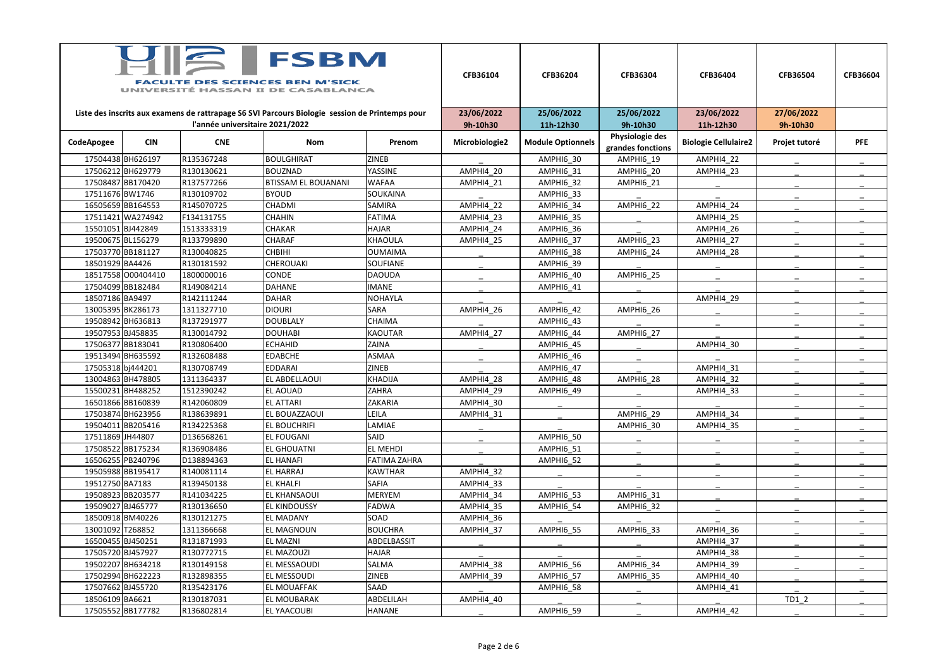| <b>FSBM</b><br><b>DES SCIENCES BEN M'SICK</b><br>UNIVERSITÉ HASSAN II DE CASABLANCA             |                    |                                 |                            |                     | CFB36104       | CFB36204                 | CFB36304                             | CFB36404                    | CFB36504      | CFB36604   |
|-------------------------------------------------------------------------------------------------|--------------------|---------------------------------|----------------------------|---------------------|----------------|--------------------------|--------------------------------------|-----------------------------|---------------|------------|
| Liste des inscrits aux examens de rattrapage S6 SVI Parcours Biologie session de Printemps pour |                    |                                 |                            |                     | 23/06/2022     | 25/06/2022               | 25/06/2022                           | 23/06/2022                  | 27/06/2022    |            |
|                                                                                                 |                    | l'année universitaire 2021/2022 |                            |                     | 9h-10h30       | 11h-12h30                | 9h-10h30                             | 11h-12h30                   | 9h-10h30      |            |
| CodeApogee                                                                                      | <b>CIN</b>         | <b>CNE</b>                      | <b>Nom</b>                 | Prenom              | Microbiologie2 | <b>Module Optionnels</b> | Physiologie des<br>grandes fonctions | <b>Biologie Cellulaire2</b> | Projet tutoré | <b>PFE</b> |
|                                                                                                 | 17504438BH626197   | R135367248                      | <b>BOULGHIRAT</b>          | <b>ZINEB</b>        |                | AMPHI6 30                | AMPHI6 19                            | AMPHI4 22                   |               |            |
|                                                                                                 | 17506212BH629779   | R130130621                      | <b>BOUZNAD</b>             | <b>YASSINE</b>      | AMPHI4 20      | AMPHI6 31                | AMPHI6 20                            | AMPHI4_23                   |               |            |
|                                                                                                 | 17508487 BB170420  | R137577266                      | <b>BTISSAM EL BOUANANI</b> | <b>WAFAA</b>        | AMPHI4 21      | AMPHI6 32                | <b>AMPHI6_21</b>                     |                             |               |            |
| 17511676BW1746                                                                                  |                    | R130109702                      | <b>BYOUD</b>               | SOUKAINA            |                | AMPHI6 33                |                                      |                             |               |            |
|                                                                                                 | 16505659BB164553   | R145070725                      | CHADMI                     | SAMIRA              | AMPHI4 22      | AMPHI6 34                | AMPHI6 22                            | AMPHI4 24                   |               |            |
|                                                                                                 | 17511421 WA274942  | F134131755                      | <b>CHAHIN</b>              | <b>FATIMA</b>       | AMPHI4 23      | AMPHI6_35                |                                      | AMPHI4_25                   |               |            |
|                                                                                                 | 15501051BJ442849   | 1513333319                      | <b>CHAKAR</b>              | <b>HAJAR</b>        | AMPHI4 24      | AMPHI6 36                |                                      | AMPHI4 26                   |               |            |
|                                                                                                 | 19500675 BL156279  | R133799890                      | <b>CHARAF</b>              | <b>KHAOULA</b>      | AMPHI4 25      | AMPHI6 37                | AMPHI6 23                            | AMPHI4 27                   |               |            |
|                                                                                                 | 17503770 BB181127  | R130040825                      | <b>CHBIHI</b>              | <b>OUMAIMA</b>      |                | AMPHI6 38                | AMPHI6 24                            | AMPHI4 28                   |               |            |
| 18501929 BA4426                                                                                 |                    | R130181592                      | <b>CHEROUAKI</b>           | <b>SOUFIANE</b>     |                | AMPHI6 39                |                                      |                             |               |            |
|                                                                                                 | 18517558 000404410 | 1800000016                      | <b>CONDE</b>               | <b>DAOUDA</b>       |                | AMPHI6 40                | AMPHI6 25                            |                             |               |            |
|                                                                                                 | 17504099 BB182484  | R149084214                      | <b>DAHANE</b>              | <b>IMANE</b>        |                | <b>AMPHI6_41</b>         |                                      |                             |               |            |
| 18507186BA9497                                                                                  |                    | R142111244                      | <b>DAHAR</b>               | <b>NOHAYLA</b>      |                |                          |                                      | AMPHI4 29                   |               |            |
|                                                                                                 | 13005395 BK286173  | 1311327710                      | <b>DIOURI</b>              | SARA                | AMPHI4 26      | AMPHI6 42                | AMPHI6 26                            |                             |               |            |
|                                                                                                 | 19508942 BH636813  | R137291977                      | <b>DOUBLALY</b>            | CHAIMA              |                | AMPHI6 43                |                                      |                             |               |            |
|                                                                                                 | 19507953 BJ458835  | R130014792                      | <b>DOUHABI</b>             | <b>KAOUTAR</b>      | AMPHI4 27      | AMPHI6 44                | AMPHI6 27                            |                             |               |            |
|                                                                                                 | 17506377BB183041   | R130806400                      | <b>ECHAHID</b>             | <b>ZAINA</b>        |                | AMPHI6 45                |                                      | AMPHI4 30                   |               |            |
|                                                                                                 | 19513494 BH635592  | R132608488                      | <b>EDABCHE</b>             | <b>ASMAA</b>        |                | AMPHI6_46                |                                      |                             |               |            |
| 17505318bj444201                                                                                |                    | R130708749                      | <b>EDDARAI</b>             | <b>ZINEB</b>        |                | AMPHI6 47                |                                      | AMPHI4 31                   |               |            |
|                                                                                                 | 13004863 BH478805  | 1311364337                      | EL ABDELLAOUI              | <b>KHADIJA</b>      | AMPHI4_28      | AMPHI6 48                | AMPHI6 28                            | AMPHI4 32                   |               |            |
|                                                                                                 | 15500231BH488252   | 1512390242                      | EL AOUAD                   | ZAHRA               | AMPHI4 29      | AMPHI6_49                |                                      | AMPHI4_33                   |               |            |
|                                                                                                 | 16501866 BB160839  | R142060809                      | <b>EL ATTARI</b>           | ZAKARIA             | AMPHI4 30      |                          |                                      |                             |               |            |
|                                                                                                 | 17503874BH623956   | R138639891                      | EL BOUAZZAOUI              | LEILA               | AMPHI4_31      |                          | <b>AMPHI6 29</b>                     | AMPHI4 34                   |               |            |
|                                                                                                 | 19504011BB205416   | R134225368                      | EL BOUCHRIFI               | LAMIAE              |                |                          | AMPHI6 30                            | AMPHI4_35                   |               |            |
| 17511869JH44807                                                                                 |                    | D136568261                      | EL FOUGANI                 | SAID                |                | AMPHI6_50                |                                      |                             |               |            |
|                                                                                                 | 17508522BB175234   | R136908486                      | <b>EL GHOUATNI</b>         | EL MEHDI            |                | AMPHI6 51                |                                      |                             |               |            |
|                                                                                                 | 16506255 PB240796  | D138894363                      | <b>EL HANAFI</b>           | <b>FATIMA ZAHRA</b> |                | AMPHI6 52                |                                      |                             |               |            |
|                                                                                                 | 19505988BB195417   | R140081114                      | EL HARRAJ                  | <b>KAWTHAR</b>      | AMPHI4_32      |                          |                                      |                             |               |            |
| 19512750 BA7183                                                                                 |                    | R139450138                      | <b>EL KHALFI</b>           | <b>SAFIA</b>        | AMPHI4_33      |                          |                                      |                             |               |            |
|                                                                                                 | 19508923 BB203577  | R141034225                      | EL KHANSAOUI               | MERYEM              | AMPHI4 34      | AMPHI6 53                | AMPHI6 31                            |                             |               |            |
|                                                                                                 | 19509027 BJ465777  | R130136650                      | EL KINDOUSSY               | FADWA               | AMPHI4 35      | AMPHI6_54                | AMPHI6 32                            |                             |               |            |
|                                                                                                 | 18500918BM40226    | R130121275                      | EL MADANY                  | SOAD                | AMPHI4 36      |                          |                                      |                             |               |            |
| 13001092 T268852                                                                                |                    | 1311366668                      | EL MAGNOUN                 | <b>BOUCHRA</b>      | AMPHI4 37      | AMPHI6 55                | AMPHI6 33                            | AMPHI4 36                   |               |            |
|                                                                                                 | 16500455 BJ450251  | R131871993                      | EL MAZNI                   | ABDELBASSIT         |                |                          |                                      | AMPHI4_37                   |               |            |
|                                                                                                 | 17505720 BJ457927  | R130772715                      | EL MAZOUZI                 | <b>HAJAR</b>        |                |                          |                                      | AMPHI4_38                   |               |            |
|                                                                                                 | 19502207 BH634218  | R130149158                      | EL MESSAOUDI               | SALMA               | AMPHI4 38      | AMPHI6 56                | AMPHI6 34                            | AMPHI4 39                   |               |            |
|                                                                                                 | 17502994BH622223   | R132898355                      | EL MESSOUDI                | <b>ZINEB</b>        | AMPHI4_39      | AMPHI6 57                | AMPHI6 35                            | AMPHI4_40                   |               |            |
|                                                                                                 | 17507662 BJ455720  | R135423176                      | EL MOUAFFAK                | SAAD                |                | AMPHI6 58                |                                      | AMPHI4 41                   |               |            |
| 18506109 BA6621                                                                                 |                    | R130187031                      | EL MOUBARAK                | ABDELILAH           | AMPHI4_40      |                          |                                      |                             | $TD1_2$       |            |
|                                                                                                 | 17505552BB177782   | R136802814                      | EL YAACOUBI                | <b>HANANE</b>       |                | AMPHI6_59                |                                      | AMPHI4_42                   |               |            |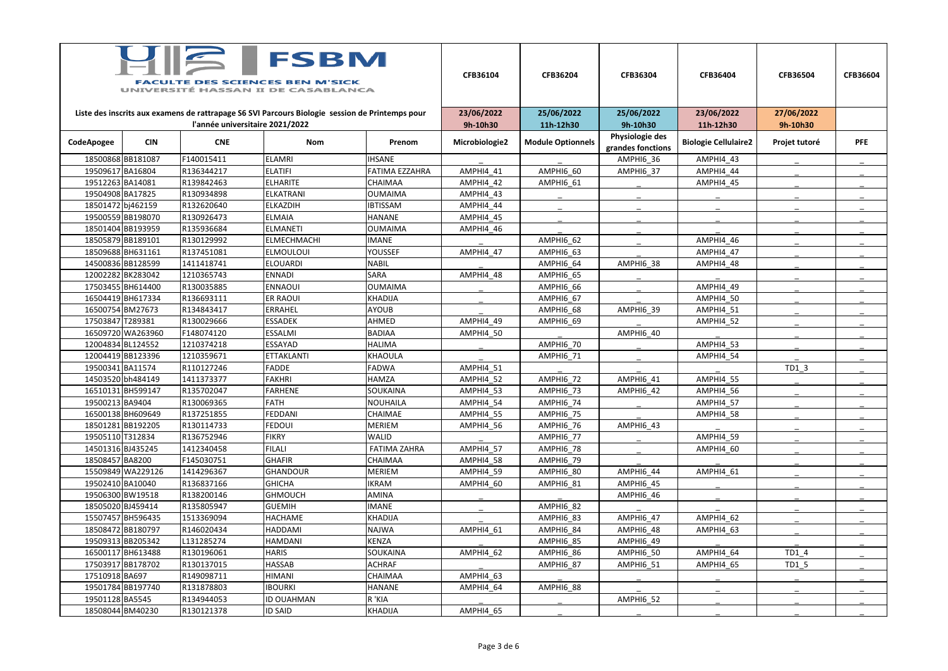| $\sqrt{2}$<br><b>FSBM</b><br><b>FACULTE DES SCIENCES BEN M'SICK</b><br>UNIVERSITÉ HASSAN II DE CASABLANCA |                   |                                 |                                                                                                 |                     | CFB36104       | CFB36204                 | CFB36304                    | CFB36404                    | CFB36504      | <b>CFB36604</b> |
|-----------------------------------------------------------------------------------------------------------|-------------------|---------------------------------|-------------------------------------------------------------------------------------------------|---------------------|----------------|--------------------------|-----------------------------|-----------------------------|---------------|-----------------|
|                                                                                                           |                   |                                 | Liste des inscrits aux examens de rattrapage S6 SVI Parcours Biologie session de Printemps pour |                     | 23/06/2022     | 25/06/2022               | 25/06/2022                  | 23/06/2022                  | 27/06/2022    |                 |
|                                                                                                           |                   | l'année universitaire 2021/2022 |                                                                                                 |                     | 9h-10h30       | 11h-12h30                | 9h-10h30<br>Physiologie des | 11h-12h30                   | 9h-10h30      |                 |
| CodeApogee                                                                                                | <b>CIN</b>        | <b>CNE</b>                      | <b>Nom</b>                                                                                      | Prenom              | Microbiologie2 | <b>Module Optionnels</b> | grandes fonctions           | <b>Biologie Cellulaire2</b> | Projet tutoré | <b>PFE</b>      |
|                                                                                                           | 18500868BB181087  | F140015411                      | <b>ELAMRI</b>                                                                                   | <b>IHSANE</b>       |                |                          | AMPHI6 36                   | AMPHI4_43                   |               |                 |
| 19509617 BA16804                                                                                          |                   | R136344217                      | <b>ELATIFI</b>                                                                                  | FATIMA EZZAHRA      | AMPHI4 41      | AMPHI6 60                | AMPHI6 37                   | AMPHI4 44                   |               |                 |
| 19512263 BA14081                                                                                          |                   | R139842463                      | <b>ELHARITE</b>                                                                                 | <b>CHAIMAA</b>      | AMPHI4 42      | AMPHI6 61                |                             | AMPHI4 45                   |               |                 |
| 19504908 BA17825                                                                                          |                   | R130934898                      | <b>ELKATRANI</b>                                                                                | <b>OUMAIMA</b>      | AMPHI4 43      |                          |                             |                             |               |                 |
|                                                                                                           | 18501472 bj462159 | R132620640                      | <b>ELKAZDIH</b>                                                                                 | <b>IBTISSAM</b>     | AMPHI4 44      |                          |                             |                             |               |                 |
|                                                                                                           | 19500559BB198070  | R130926473                      | <b>ELMAIA</b>                                                                                   | <b>HANANE</b>       | AMPHI4 45      |                          |                             |                             |               |                 |
|                                                                                                           | 18501404 BB193959 | R135936684                      | <b>ELMANETI</b>                                                                                 | <b>OUMAIMA</b>      | AMPHI4 46      |                          |                             |                             |               |                 |
|                                                                                                           | 18505879 BB189101 | R130129992                      | <b>ELMECHMACHI</b>                                                                              | <b>IMANE</b>        |                | AMPHI6 62                |                             | AMPHI4 46                   |               |                 |
|                                                                                                           | 18509688BH631161  | R137451081                      | <b>ELMOULOUI</b>                                                                                | <b>YOUSSEF</b>      | AMPHI4 47      | AMPHI6 63                |                             | AMPHI4 47                   |               |                 |
|                                                                                                           | 14500836BB128599  | 1411418741                      | <b>ELOUARDI</b>                                                                                 | <b>NABIL</b>        |                | AMPHI6 64                | AMPHI6 38                   | AMPHI4_48                   |               |                 |
|                                                                                                           | 12002282BK283042  | 1210365743                      | <b>ENNADI</b>                                                                                   | <b>SARA</b>         | AMPHI4 48      | AMPHI6 65                |                             |                             |               |                 |
|                                                                                                           | 17503455 BH614400 | R130035885                      | <b>ENNAOUI</b>                                                                                  | OUMAIMA             |                | AMPHI6 66                |                             | AMPHI4 49                   |               |                 |
|                                                                                                           | 16504419BH617334  | R136693111                      | <b>ER RAOUI</b>                                                                                 | KHADIJA             |                | AMPHI6 67                |                             | AMPHI4 50                   |               |                 |
|                                                                                                           | 16500754BM27673   | R134843417                      | <b>ERRAHEL</b>                                                                                  | <b>AYOUB</b>        |                | AMPHI6 68                | AMPHI6 39                   | AMPHI4 51                   |               |                 |
| 17503847 T289381                                                                                          |                   | R130029666                      | <b>ESSADEK</b>                                                                                  | AHMED               | AMPHI4 49      | AMPHI6 69                |                             | AMPHI4 52                   |               |                 |
|                                                                                                           | 16509720 WA263960 | F148074120                      | <b>ESSALMI</b>                                                                                  | <b>BADIAA</b>       | AMPHI4 50      |                          | AMPHI6 40                   |                             |               |                 |
|                                                                                                           | 12004834 BL124552 | 1210374218                      | ESSAYAD                                                                                         | <b>HALIMA</b>       |                | AMPHI6 70                |                             | AMPHI4 53                   |               |                 |
|                                                                                                           | 12004419BB123396  | 1210359671                      | <b>ETTAKLANTI</b>                                                                               | KHAOULA             |                | AMPHI6 71                |                             | AMPHI4 54                   |               |                 |
| 19500341 BA11574                                                                                          |                   | R110127246                      | <b>FADDE</b>                                                                                    | FADWA               | AMPHI4 51      |                          |                             |                             | TD1 3         |                 |
|                                                                                                           | 14503520 bh484149 | 1411373377                      | <b>FAKHRI</b>                                                                                   | <b>HAMZA</b>        | AMPHI4 52      | AMPHI6 72                | AMPHI6 41                   | AMPHI4_55                   |               |                 |
|                                                                                                           | 16510131BH599147  | R135702047                      | <b>FARHENE</b>                                                                                  | <b>SOUKAINA</b>     | AMPHI4 53      | AMPHI6 73                | AMPHI6 42                   | AMPHI4 56                   |               |                 |
| 19500213 BA9404                                                                                           |                   | R130069365                      | <b>FATH</b>                                                                                     | NOUHAILA            | AMPHI4 54      | AMPHI6 74                |                             | AMPHI4 57                   |               |                 |
|                                                                                                           | 16500138BH609649  | R137251855                      | FEDDANI                                                                                         | CHAIMAE             | AMPHI4 55      | AMPHI6 75                |                             | AMPHI4 58                   |               |                 |
|                                                                                                           | 18501281BB192205  | R130114733                      | <b>FEDOUI</b>                                                                                   | <b>MERIEM</b>       | AMPHI4 56      | AMPHI6 76                | AMPHI6 43                   |                             |               |                 |
| 19505110 T312834                                                                                          |                   | R136752946                      | <b>FIKRY</b>                                                                                    | <b>WALID</b>        |                | AMPHI6 77                |                             | AMPHI4_59                   |               |                 |
|                                                                                                           | 14501316 BJ435245 | 1412340458                      | <b>FILALI</b>                                                                                   | <b>FATIMA ZAHRA</b> | AMPHI4 57      | AMPHI6 78                |                             | AMPHI4 60                   |               |                 |
| 18508457BA8200                                                                                            |                   | F145030751                      | <b>GHAFIR</b>                                                                                   | CHAIMAA             | AMPHI4 58      | AMPHI6 79                |                             |                             |               |                 |
|                                                                                                           | 15509849 WA229126 | 1414296367                      | <b>GHANDOUR</b>                                                                                 | <b>MERIEM</b>       | AMPHI4 59      | AMPHI6_80                | AMPHI6 44                   | AMPHI4 61                   |               |                 |
| 19502410 BA10040                                                                                          |                   | R136837166                      | <b>GHICHA</b>                                                                                   | <b>IKRAM</b>        | AMPHI4 60      | AMPHI6 81                | AMPHI6 45                   |                             |               |                 |
|                                                                                                           | 19506300 BW19518  | R138200146                      | <b>GHMOUCH</b>                                                                                  | <b>AMINA</b>        |                |                          | AMPHI6 46                   |                             |               |                 |
|                                                                                                           | 18505020 BJ459414 | R135805947                      | <b>GUEMIH</b>                                                                                   | <b>IMANE</b>        |                | AMPHI6 82                |                             |                             |               |                 |
|                                                                                                           | 15507457 BH596435 | 1513369094                      | <b>HACHAME</b>                                                                                  | KHADIJA             |                | AMPHI6 83                | AMPHI6 47                   | AMPHI4 62                   |               |                 |
|                                                                                                           | 18508472BB180797  | R146020434                      | <b>HADDAMI</b>                                                                                  | NAJWA               | AMPHI4 61      | AMPHI6_84                | <b>AMPHI6_48</b>            | AMPHI4 63                   |               |                 |
|                                                                                                           | 19509313BB205342  | L131285274                      | HAMDANI                                                                                         | KENZA               |                | AMPHI6_85                | AMPHI6 49                   |                             |               |                 |
|                                                                                                           | 16500117 BH613488 | R130196061                      | <b>HARIS</b>                                                                                    | SOUKAINA            | AMPHI4 62      | AMPHI6 86                | AMPHI6 50                   | AMPHI4 64                   | $TD1_4$       |                 |
|                                                                                                           | 17503917 BB178702 | R130137015                      | <b>HASSAB</b>                                                                                   | <b>ACHRAF</b>       |                | AMPHI6 87                | AMPHI6 51                   | AMPHI4 65                   | $TD1_5$       |                 |
| 17510918BA697                                                                                             |                   | R149098711                      | HIMANI                                                                                          | <b>CHAIMAA</b>      | AMPHI4 63      |                          |                             |                             |               |                 |
|                                                                                                           | 19501784BB197740  | R131878803                      | <b>IBOURKI</b>                                                                                  | <b>HANANE</b>       | AMPHI4 64      | AMPHI6 88                |                             |                             |               |                 |
| 19501128 BA5545                                                                                           |                   | R134944053                      | <b>ID OUAHMAN</b>                                                                               | R 'KIA              |                |                          | AMPHI6 52                   |                             |               |                 |
|                                                                                                           | 18508044 BM40230  | R130121378                      | <b>ID SAID</b>                                                                                  | KHADIJA             | AMPHI4_65      |                          |                             |                             |               |                 |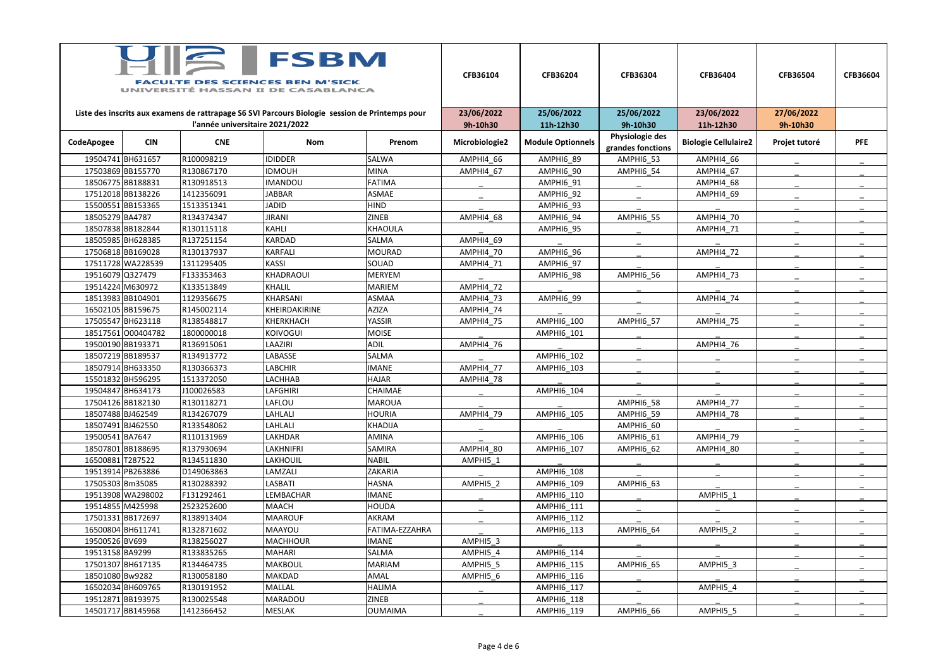| <b>FSBM</b><br><b>FACULTE DES SCIENCES BEN M'SICK</b><br>UNIVERSITÉ HASSAN II DE CASABLANCA |                    |                                 |                                                                                                 |                | CFB36104               | CFB36204                 | CFB36304               | CFB36404                    | CFB36504               | <b>CFB36604</b> |
|---------------------------------------------------------------------------------------------|--------------------|---------------------------------|-------------------------------------------------------------------------------------------------|----------------|------------------------|--------------------------|------------------------|-----------------------------|------------------------|-----------------|
|                                                                                             |                    | l'année universitaire 2021/2022 | Liste des inscrits aux examens de rattrapage S6 SVI Parcours Biologie session de Printemps pour |                | 23/06/2022<br>9h-10h30 | 25/06/2022<br>11h-12h30  | 25/06/2022<br>9h-10h30 | 23/06/2022<br>11h-12h30     | 27/06/2022<br>9h-10h30 |                 |
|                                                                                             |                    |                                 |                                                                                                 |                |                        |                          | Physiologie des        |                             |                        |                 |
| CodeApogee                                                                                  | <b>CIN</b>         | <b>CNE</b>                      | Nom                                                                                             | Prenom         | Microbiologie2         | <b>Module Optionnels</b> | grandes fonctions      | <b>Biologie Cellulaire2</b> | Projet tutoré          | <b>PFE</b>      |
|                                                                                             | 19504741 BH631657  | R100098219                      | <b>IDIDDER</b>                                                                                  | <b>SALWA</b>   | AMPHI4 66              | AMPHI6 89                | AMPHI6 53              | AMPHI4_66                   |                        |                 |
|                                                                                             | 17503869BB155770   | R130867170                      | <b>IDMOUH</b>                                                                                   | <b>MINA</b>    | AMPHI4 67              | AMPHI6 90                | AMPHI6 54              | AMPHI4 67                   |                        |                 |
|                                                                                             | 18506775 BB188831  | R130918513                      | <b>IMANDOU</b>                                                                                  | <b>FATIMA</b>  |                        | AMPHI6 91                |                        | AMPHI4 68                   |                        |                 |
|                                                                                             | 17512018BB138226   | 1412356091                      | <b>JABBAR</b>                                                                                   | <b>ASMAE</b>   |                        | AMPHI6 92                |                        | AMPHI4_69                   |                        |                 |
|                                                                                             | 15500551BB153365   | 1513351341                      | <b>JADID</b>                                                                                    | <b>HIND</b>    |                        | AMPHI6 93                |                        |                             |                        |                 |
| 18505279 BA4787                                                                             |                    | R134374347                      | <b>JIRANI</b>                                                                                   | <b>ZINEB</b>   | AMPHI4 68              | AMPHI6 94                | AMPHI6 55              | AMPHI4 70                   |                        |                 |
|                                                                                             | 18507838 BB182844  | R130115118                      | <b>KAHLI</b>                                                                                    | <b>KHAOULA</b> |                        | AMPHI6_95                |                        | AMPHI4 71                   |                        |                 |
|                                                                                             | 18505985 BH628385  | R137251154                      | <b>KARDAD</b>                                                                                   | SALMA          | AMPHI4 69              |                          |                        |                             |                        |                 |
|                                                                                             | 17506818BB169028   | R130137937                      | <b>KARFALI</b>                                                                                  | <b>MOURAD</b>  | AMPHI4 70              | AMPHI6 96                |                        | AMPHI4_72                   |                        |                 |
|                                                                                             | 17511728 WA228539  | 1311295405                      | <b>KASSI</b>                                                                                    | SOUAD          | AMPHI4 71              | AMPHI6 97                |                        |                             |                        |                 |
| 19516079 Q327479                                                                            |                    | F133353463                      | KHADRAOUI                                                                                       | <b>MERYEM</b>  |                        | AMPHI6 98                | AMPHI6 56              | AMPHI4_73                   |                        |                 |
|                                                                                             | 19514224 M630972   | K133513849                      | <b>KHALIL</b>                                                                                   | <b>MARIEM</b>  | AMPHI4 72              |                          |                        |                             |                        |                 |
|                                                                                             | 18513983 BB104901  | 1129356675                      | KHARSANI                                                                                        | <b>ASMAA</b>   | AMPHI4 73              | AMPHI6 99                |                        | AMPHI4 74                   |                        |                 |
|                                                                                             | 16502105 BB159675  | R145002114                      | KHEIRDAKIRINE                                                                                   | <b>AZIZA</b>   | AMPHI4 74              |                          |                        |                             |                        |                 |
|                                                                                             | 17505547 BH623118  | R138548817                      | KHERKHACH                                                                                       | YASSIR         | AMPHI4 75              | <b>AMPHI6 100</b>        | AMPHI6 57              | AMPHI4 75                   |                        |                 |
|                                                                                             | 18517561 000404782 | 1800000018                      | <b>KOIVOGUI</b>                                                                                 | <b>MOISE</b>   |                        | AMPHI6_101               |                        |                             |                        |                 |
|                                                                                             | 19500190BB193371   | R136915061                      | LAAZIRI                                                                                         | <b>ADIL</b>    | AMPHI4 76              |                          |                        | AMPHI4 76                   |                        |                 |
|                                                                                             | 18507219BB189537   | R134913772                      | LABASSE                                                                                         | <b>SALMA</b>   |                        | <b>AMPHI6 102</b>        |                        |                             |                        |                 |
|                                                                                             | 18507914 BH633350  | R130366373                      | <b>LABCHIR</b>                                                                                  | <b>IMANE</b>   | AMPHI4 77              | AMPHI6 103               |                        |                             |                        |                 |
|                                                                                             | 15501832 BH596295  | 1513372050                      | LACHHAB                                                                                         | <b>HAJAR</b>   | AMPHI4 78              |                          |                        |                             |                        |                 |
|                                                                                             | 19504847 BH634173  | J100026583                      | <b>LAFGHIRI</b>                                                                                 | CHAIMAE        |                        | AMPHI6_104               |                        |                             |                        |                 |
|                                                                                             | 17504126BB182130   | R130118271                      | LAFLOU                                                                                          | <b>MAROUA</b>  |                        |                          | AMPHI6 58              | AMPHI4 77                   |                        |                 |
|                                                                                             | 18507488 BJ462549  | R134267079                      | LAHLALI                                                                                         | <b>HOURIA</b>  | AMPHI4 79              | <b>AMPHI6 105</b>        | AMPHI6 59              | AMPHI4 78                   |                        |                 |
|                                                                                             | 18507491 BJ462550  | R133548062                      | LAHLALI                                                                                         | KHADIJA        |                        |                          | AMPHI6 60              |                             |                        |                 |
| 19500541 BA7647                                                                             |                    | R110131969                      | LAKHDAR                                                                                         | AMINA          |                        | <b>AMPHI6 106</b>        | AMPHI6 61              | AMPHI4 79                   |                        |                 |
|                                                                                             | 18507801 BB188695  | R137930694                      | LAKHNIFRI                                                                                       | SAMIRA         | AMPHI4 80              | <b>AMPHI6 107</b>        | AMPHI6 62              | AMPHI4 80                   |                        |                 |
| 16500881 T287522                                                                            |                    | R134511830                      | LAKHOUIL                                                                                        | <b>NABIL</b>   | AMPHI5 1               |                          |                        |                             |                        |                 |
|                                                                                             | 19513914 PB263886  | D149063863                      | LAMZALI                                                                                         | ZAKARIA        |                        | AMPHI6_108               |                        |                             |                        |                 |
|                                                                                             | 17505303 Bm35085   | R130288392                      | LASBATI                                                                                         | <b>HASNA</b>   | AMPHI5 2               | AMPHI6 109               | AMPHI6 63              |                             |                        |                 |
|                                                                                             | 19513908 WA298002  | F131292461                      | LEMBACHAR                                                                                       | <b>IMANE</b>   |                        | AMPHI6_110               |                        | AMPHI5 1                    |                        |                 |
|                                                                                             | 19514855 M425998   | 2523252600                      | <b>MAACH</b>                                                                                    | HOUDA          |                        | AMPHI6_111               |                        |                             |                        |                 |
|                                                                                             | 17501331BB172697   | R138913404                      | <b>MAAROUF</b>                                                                                  | AKRAM          |                        | AMPHI6_112               |                        |                             |                        |                 |
|                                                                                             | 16500804 BH611741  | R132871602                      | MAAYOU                                                                                          | FATIMA-EZZAHRA |                        | AMPHI6_113               | AMPHI6 64              | AMPHI5_2                    |                        |                 |
| 19500526 BV699                                                                              |                    | R138256027                      | <b>MACHHOUR</b>                                                                                 | <b>IMANE</b>   | AMPHI5 3               |                          |                        |                             |                        |                 |
| 19513158 BA9299                                                                             |                    | R133835265                      | <b>MAHARI</b>                                                                                   | SALMA          | AMPHI5 4               | <b>AMPHI6 114</b>        |                        |                             |                        |                 |
|                                                                                             | 17501307 BH617135  | R134464735                      | <b>MAKBOUL</b>                                                                                  | <b>MARIAM</b>  | AMPHI5 5               | <b>AMPHI6 115</b>        | AMPHI6 65              | AMPHI5 3                    |                        |                 |
| 18501080 Bw9282                                                                             |                    | R130058180                      | MAKDAD                                                                                          | AMAL           | AMPHI5_6               | AMPHI6_116               |                        |                             |                        |                 |
|                                                                                             | 16502034 BH609765  | R130191952                      | MALLAL                                                                                          | HALIMA         |                        | AMPHI6_117               |                        | AMPHI5 4                    |                        |                 |
|                                                                                             | 19512871BB193975   | R130025548                      | MARADOU                                                                                         | <b>ZINEB</b>   |                        | AMPHI6_118               |                        |                             |                        |                 |
|                                                                                             | 14501717 BB145968  | 1412366452                      | MESLAK                                                                                          | <b>OUMAIMA</b> |                        | AMPHI6_119               | AMPHI6_66              | AMPHI5_5                    |                        |                 |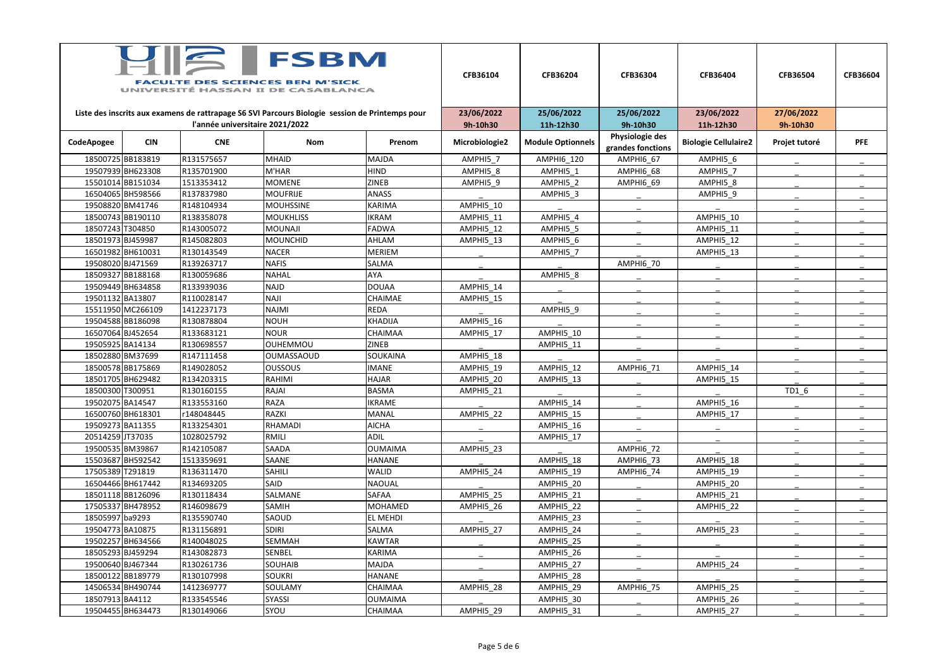| <b>FSBM</b><br><b>FACULTE DES SCIENCES BEN M'SICK</b><br>UNIVERSITÉ HASSAN II DE CASABLANCA |                   |                                 |                                                                                                 |                 | CFB36104               | CFB36204                 | CFB36304               | CFB36404                    | CFB36504               | <b>CFB36604</b> |
|---------------------------------------------------------------------------------------------|-------------------|---------------------------------|-------------------------------------------------------------------------------------------------|-----------------|------------------------|--------------------------|------------------------|-----------------------------|------------------------|-----------------|
|                                                                                             |                   | l'année universitaire 2021/2022 | Liste des inscrits aux examens de rattrapage S6 SVI Parcours Biologie session de Printemps pour |                 | 23/06/2022<br>9h-10h30 | 25/06/2022<br>11h-12h30  | 25/06/2022<br>9h-10h30 | 23/06/2022<br>11h-12h30     | 27/06/2022<br>9h-10h30 |                 |
|                                                                                             |                   |                                 |                                                                                                 |                 |                        |                          | Physiologie des        |                             |                        |                 |
| CodeApogee                                                                                  | <b>CIN</b>        | <b>CNE</b>                      | Nom                                                                                             | Prenom          | Microbiologie2         | <b>Module Optionnels</b> | grandes fonctions      | <b>Biologie Cellulaire2</b> | Projet tutoré          | <b>PFE</b>      |
|                                                                                             | 18500725BB183819  | R131575657                      | <b>MHAID</b>                                                                                    | <b>MAJDA</b>    | AMPHI5 7               | AMPHI6_120               | AMPHI6 67              | AMPHI5 6                    |                        |                 |
|                                                                                             | 19507939 BH623308 | R135701900                      | M'HAR                                                                                           | <b>HIND</b>     | AMPHI5 8               | AMPHI5 1                 | AMPHI6 68              | AMPHI5 7                    |                        |                 |
|                                                                                             | 15501014BB151034  | 1513353412                      | <b>MOMENE</b>                                                                                   | <b>ZINEB</b>    | AMPHI5 9               | AMPHI5 2                 | AMPHI6 69              | AMPHI5 8                    |                        |                 |
|                                                                                             | 16504065 BH598566 | R137837980                      | <b>MOUFRIJE</b>                                                                                 | <b>ANASS</b>    |                        | AMPHI5 3                 |                        | AMPHI5 9                    |                        |                 |
|                                                                                             | 19508820 BM41746  | R148104934                      | <b>MOUHSSINE</b>                                                                                | <b>KARIMA</b>   | AMPHI5 10              |                          |                        |                             |                        |                 |
|                                                                                             | 18500743 BB190110 | R138358078                      | <b>MOUKHLISS</b>                                                                                | <b>IKRAM</b>    | AMPHI5 11              | AMPHI5 4                 |                        | AMPHI5 10                   |                        |                 |
| 18507243 T304850                                                                            |                   | R143005072                      | <b>MOUNAJI</b>                                                                                  | <b>FADWA</b>    | AMPHI5 12              | AMPHI5 5                 |                        | AMPHI5_11                   |                        |                 |
|                                                                                             | 18501973 BJ459987 | R145082803                      | <b>MOUNCHID</b>                                                                                 | AHLAM           | AMPHI5 13              | AMPHI5 6                 |                        | AMPHI5 12                   |                        |                 |
|                                                                                             | 16501982BH610031  | R130143549                      | <b>NACER</b>                                                                                    | <b>MERIEM</b>   |                        | AMPHI5 7                 |                        | AMPHI5_13                   |                        |                 |
|                                                                                             | 19508020 BJ471569 | R139263717                      | <b>NAFIS</b>                                                                                    | SALMA           |                        |                          | AMPHI6 70              |                             |                        |                 |
|                                                                                             | 18509327 BB188168 | R130059686                      | <b>NAHAL</b>                                                                                    | AYA             |                        | AMPHI5 8                 |                        |                             |                        |                 |
|                                                                                             | 19509449 BH634858 | R133939036                      | <b>NAJD</b>                                                                                     | <b>DOUAA</b>    | AMPHI5 14              |                          |                        |                             |                        |                 |
| 19501132 BA13807                                                                            |                   | R110028147                      | <b>NAJI</b>                                                                                     | CHAIMAE         | AMPHI5 15              |                          |                        |                             |                        |                 |
|                                                                                             | 15511950 MC266109 | 1412237173                      | <b>NAJMI</b>                                                                                    | <b>REDA</b>     |                        | AMPHI5 9                 |                        |                             |                        |                 |
|                                                                                             | 19504588BB186098  | R130878804                      | <b>NOUH</b>                                                                                     | <b>KHADIJA</b>  | AMPHI5 16              |                          |                        |                             |                        |                 |
|                                                                                             | 16507064 BJ452654 | R133683121                      | <b>NOUR</b>                                                                                     | CHAIMAA         | AMPHI5 17              | AMPHI5_10                |                        |                             |                        |                 |
| 19505925 BA14134                                                                            |                   | R130698557                      | <b>OUHEMMOU</b>                                                                                 | <b>ZINEB</b>    |                        | AMPHI5 11                |                        |                             |                        |                 |
|                                                                                             | 18502880 BM37699  | R147111458                      | <b>OUMASSAOUD</b>                                                                               | SOUKAINA        | AMPHI5 18              |                          |                        |                             |                        |                 |
|                                                                                             | 18500578BB175869  | R149028052                      | <b>OUSSOUS</b>                                                                                  | <b>IMANE</b>    | AMPHI5 19              | AMPHI5 12                | AMPHI6 71              | AMPHI5 14                   |                        |                 |
|                                                                                             | 18501705 BH629482 | R134203315                      | RAHIMI                                                                                          | <b>HAJAR</b>    | AMPHI5_20              | AMPHI5 13                |                        | AMPHI5_15                   |                        |                 |
| 18500300 T300951                                                                            |                   | R130160155                      | RAJAI                                                                                           | <b>BASMA</b>    | AMPHI5 21              |                          |                        |                             | TD1 6                  |                 |
| 19502075 BA14547                                                                            |                   | R133553160                      | <b>RAZA</b>                                                                                     | <b>IKRAME</b>   |                        | AMPHI5 14                |                        | AMPHI5 16                   |                        |                 |
|                                                                                             | 16500760 BH618301 | r148048445                      | <b>RAZKI</b>                                                                                    | MANAL           | AMPHI5 22              | AMPHI5 15                |                        | AMPHI5_17                   |                        |                 |
|                                                                                             | 19509273BA11355   | R133254301                      | RHAMADI                                                                                         | <b>AICHA</b>    |                        | AMPHI5 16                |                        |                             |                        |                 |
| 20514259JT37035                                                                             |                   | 1028025792                      | RMILI                                                                                           | <b>ADIL</b>     |                        | AMPHI5_17                |                        |                             |                        |                 |
|                                                                                             | 19500535 BM39867  | R142105087                      | <b>SAADA</b>                                                                                    | <b>OUMAIMA</b>  | AMPHI5 23              |                          | AMPHI6 72              |                             |                        |                 |
|                                                                                             | 15503687 BH592542 | 1513359691                      | SAANE                                                                                           | <b>HANANE</b>   |                        | AMPHI5 18                | AMPHI6 73              | AMPHI5 18                   |                        |                 |
| 17505389 T291819                                                                            |                   | R136311470                      | SAHILI                                                                                          | WALID           | AMPHI5 24              | AMPHI5_19                | AMPHI6 74              | AMPHI5_19                   |                        |                 |
|                                                                                             | 16504466BH617442  | R134693205                      | SAID                                                                                            | <b>NAOUAL</b>   |                        | AMPHI5_20                |                        | AMPHI5 20                   |                        |                 |
|                                                                                             | 18501118BB126096  | R130118434                      | SALMANE                                                                                         | SAFAA           | AMPHI5 25              | AMPHI5_21                |                        | AMPHI5_21                   |                        |                 |
|                                                                                             | 17505337BH478952  | R146098679                      | SAMIH                                                                                           | MOHAMED         | AMPHI5 26              | AMPHI5 22                |                        | AMPHI5 22                   |                        |                 |
| 18505997 ba9293                                                                             |                   | R135590740                      | SAOUD                                                                                           | <b>EL MEHDI</b> |                        | AMPHI5 23                |                        |                             |                        |                 |
|                                                                                             | 19504773 BA10875  | R131156891                      | <b>SDIRI</b>                                                                                    | SALMA           | AMPHI5 27              | AMPHI5_24                |                        | AMPHI5 23                   |                        |                 |
|                                                                                             | 19502257 BH634566 | R140048025                      | SEMMAH                                                                                          | <b>KAWTAR</b>   |                        | AMPHI5_25                |                        |                             |                        |                 |
|                                                                                             | 18505293 BJ459294 | R143082873                      | SENBEL                                                                                          | KARIMA          |                        | AMPHI5_26                |                        |                             |                        |                 |
|                                                                                             | 19500640 BJ467344 | R130261736                      | <b>SOUHAIB</b>                                                                                  | MAJDA           |                        | AMPHI5 27                |                        | AMPHI5 24                   |                        |                 |
|                                                                                             | 18500122BB189779  | R130107998                      | <b>SOUKRI</b>                                                                                   | <b>HANANE</b>   |                        | AMPHI5_28                |                        |                             |                        |                 |
|                                                                                             | 14506534 BH490744 | 1412369777                      | SOULAMY                                                                                         | CHAIMAA         | AMPHI5 28              | AMPHI5_29                | AMPHI6 75              | AMPHI5 25                   |                        |                 |
| 18507913BA4112                                                                              |                   | R133545546                      | <b>SYASSI</b>                                                                                   | <b>OUMAIMA</b>  |                        | AMPHI5_30                |                        | AMPHI5_26                   |                        |                 |
|                                                                                             | 19504455 BH634473 | R130149066                      | SYOU                                                                                            | CHAIMAA         | AMPHI5_29              | AMPHI5_31                |                        | AMPHI5_27                   |                        |                 |